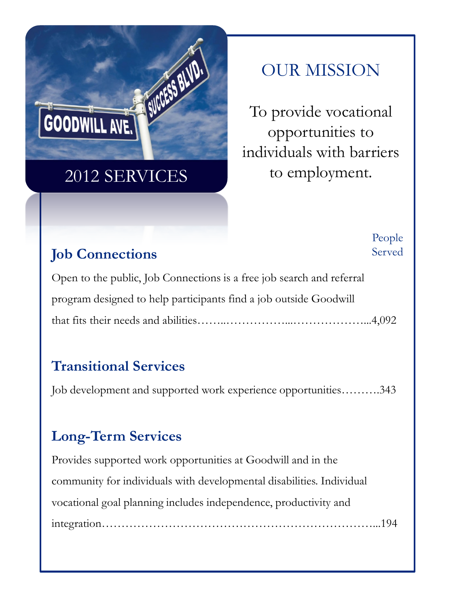

# OUR MISSION

To provide vocational opportunities to individuals with barriers to employment.

### **Job Connections**

People Served

Open to the public, Job Connections is a free job search and referral program designed to help participants find a job outside Goodwill that fits their needs and abilities……..……………...………………...4,092

## **Transitional Services**

Job development and supported work experience opportunities……….343

## **Long-Term Services**

Provides supported work opportunities at Goodwill and in the community for individuals with developmental disabilities. Individual vocational goal planning includes independence, productivity and integration……………………………………………………………...194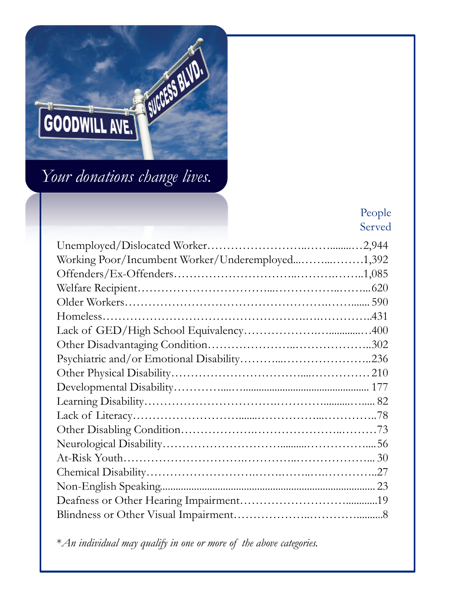

### People Served

| Working Poor/Incumbent Worker/Underemployed1,392 |  |
|--------------------------------------------------|--|
|                                                  |  |
|                                                  |  |
|                                                  |  |
|                                                  |  |
|                                                  |  |
|                                                  |  |
|                                                  |  |
|                                                  |  |
|                                                  |  |
|                                                  |  |
|                                                  |  |
|                                                  |  |
|                                                  |  |
|                                                  |  |
|                                                  |  |
|                                                  |  |
|                                                  |  |
|                                                  |  |
|                                                  |  |

\**An individual may qualify in one or more of the above categories.*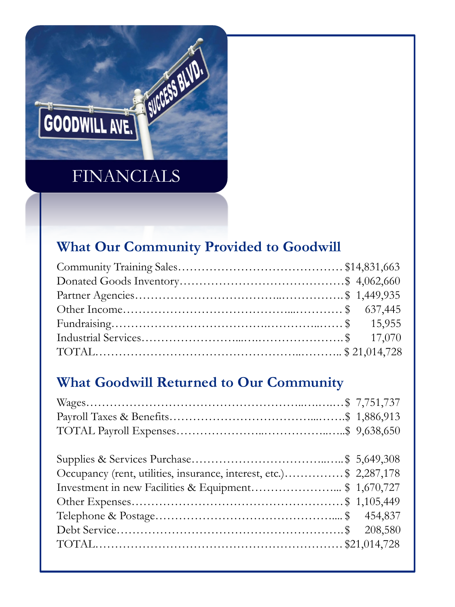

### **What Our Community Provided to Goodwill**

### **What Goodwill Returned to Our Community**

| Occupancy (rent, utilities, insurance, interest, etc.)\$ 2,287,178 |  |
|--------------------------------------------------------------------|--|
|                                                                    |  |
|                                                                    |  |
|                                                                    |  |
|                                                                    |  |
|                                                                    |  |